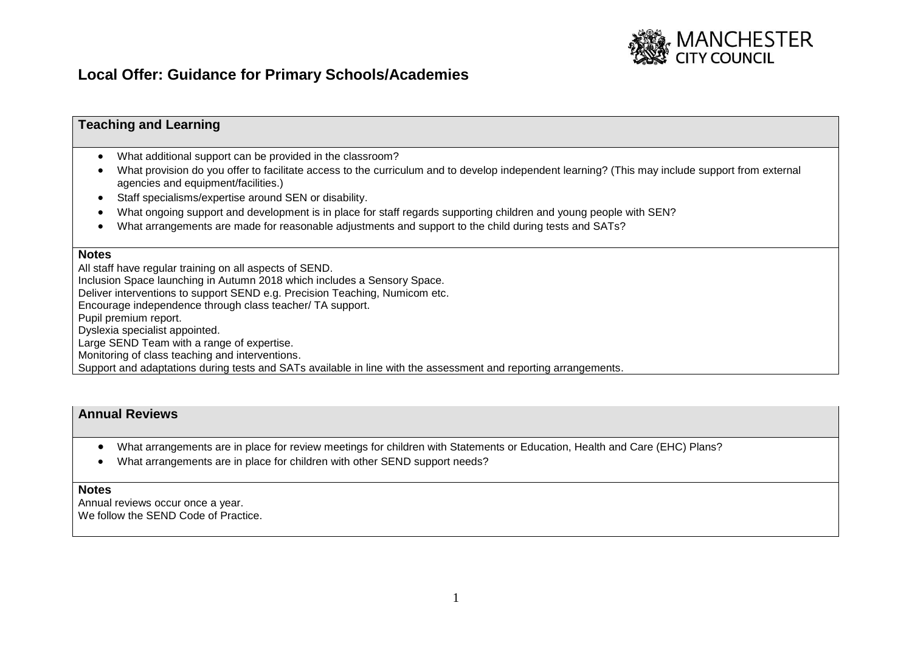

# **Local Offer: Guidance for Primary Schools/Academies**

## **Teaching and Learning**

- What additional support can be provided in the classroom?
- What provision do you offer to facilitate access to the curriculum and to develop independent learning? (This may include support from external agencies and equipment/facilities.)
- Staff specialisms/expertise around SEN or disability.
- What ongoing support and development is in place for staff regards supporting children and young people with SEN?
- What arrangements are made for reasonable adjustments and support to the child during tests and SATs?

#### **Notes**

All staff have regular training on all aspects of SEND.

Inclusion Space launching in Autumn 2018 which includes a Sensory Space.

Deliver interventions to support SEND e.g. Precision Teaching, Numicom etc.

Encourage independence through class teacher/ TA support.

Pupil premium report.

Dyslexia specialist appointed.

Large SEND Team with a range of expertise.

Monitoring of class teaching and interventions.

Support and adaptations during tests and SATs available in line with the assessment and reporting arrangements.

### **Annual Reviews**

- What arrangements are in place for review meetings for children with Statements or Education, Health and Care (EHC) Plans?
- What arrangements are in place for children with other SEND support needs?

#### **Notes**

Annual reviews occur once a year. We follow the SEND Code of Practice.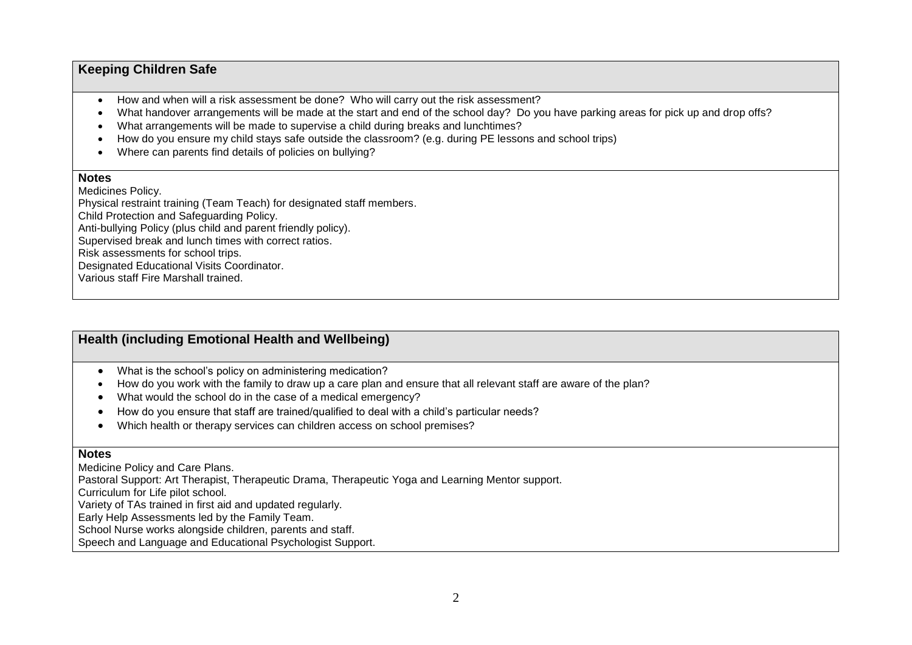# **Keeping Children Safe**

- How and when will a risk assessment be done? Who will carry out the risk assessment?
- What handover arrangements will be made at the start and end of the school day? Do you have parking areas for pick up and drop offs?
- What arrangements will be made to supervise a child during breaks and lunchtimes?
- How do you ensure my child stays safe outside the classroom? (e.g. during PE lessons and school trips)
- Where can parents find details of policies on bullying?

#### **Notes**

Medicines Policy. Physical restraint training (Team Teach) for designated staff members. Child Protection and Safeguarding Policy. Anti-bullying Policy (plus child and parent friendly policy). Supervised break and lunch times with correct ratios. Risk assessments for school trips. Designated Educational Visits Coordinator. Various staff Fire Marshall trained.

# **Health (including Emotional Health and Wellbeing)**

- What is the school's policy on administering medication?
- How do you work with the family to draw up a care plan and ensure that all relevant staff are aware of the plan?
- What would the school do in the case of a medical emergency?
- How do you ensure that staff are trained/qualified to deal with a child's particular needs?
- Which health or therapy services can children access on school premises?

### **Notes**

Medicine Policy and Care Plans.

Pastoral Support: Art Therapist, Therapeutic Drama, Therapeutic Yoga and Learning Mentor support.

Curriculum for Life pilot school.

Variety of TAs trained in first aid and updated regularly.

Early Help Assessments led by the Family Team.

School Nurse works alongside children, parents and staff.

Speech and Language and Educational Psychologist Support.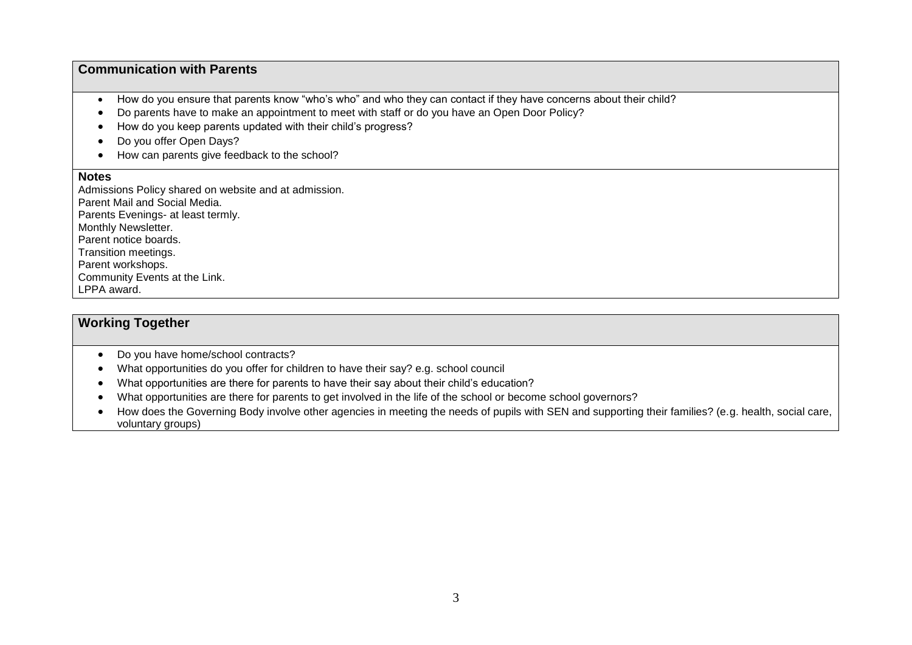## **Communication with Parents**

- How do you ensure that parents know "who's who" and who they can contact if they have concerns about their child?
- Do parents have to make an appointment to meet with staff or do you have an Open Door Policy?
- How do you keep parents updated with their child's progress?
- Do you offer Open Days?
- How can parents give feedback to the school?

#### **Notes**

Admissions Policy shared on website and at admission. Parent Mail and Social Media. Parents Evenings- at least termly. Monthly Newsletter. Parent notice boards. Transition meetings. Parent workshops. Community Events at the Link. LPPA award.

## **Working Together**

- Do you have home/school contracts?
- What opportunities do you offer for children to have their say? e.g. school council
- What opportunities are there for parents to have their say about their child's education?
- What opportunities are there for parents to get involved in the life of the school or become school governors?
- How does the Governing Body involve other agencies in meeting the needs of pupils with SEN and supporting their families? (e.g. health, social care, voluntary groups)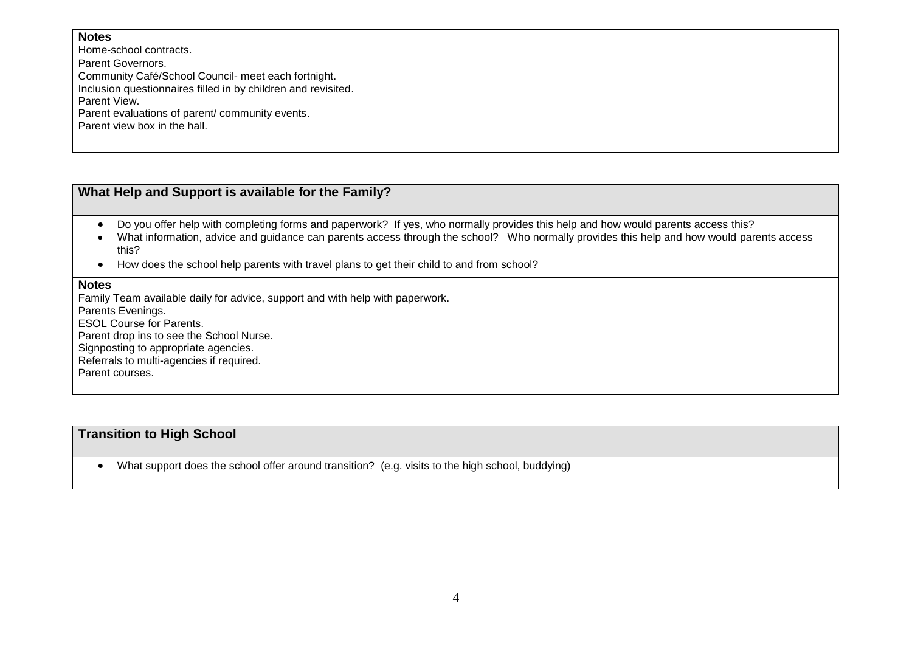### **Notes**

Home-school contracts.

Parent Governors.

Community Café/School Council- meet each fortnight.

Inclusion questionnaires filled in by children and revisited.

Parent View.

Parent evaluations of parent/ community events.

Parent view box in the hall.

# **What Help and Support is available for the Family?**

- Do you offer help with completing forms and paperwork? If yes, who normally provides this help and how would parents access this?
- What information, advice and guidance can parents access through the school? Who normally provides this help and how would parents access this?
- How does the school help parents with travel plans to get their child to and from school?

### **Notes**

Family Team available daily for advice, support and with help with paperwork.

Parents Evenings.

ESOL Course for Parents.

Parent drop ins to see the School Nurse.

Signposting to appropriate agencies.

Referrals to multi-agencies if required.

Parent courses.

# **Transition to High School**

What support does the school offer around transition? (e.g. visits to the high school, buddying)